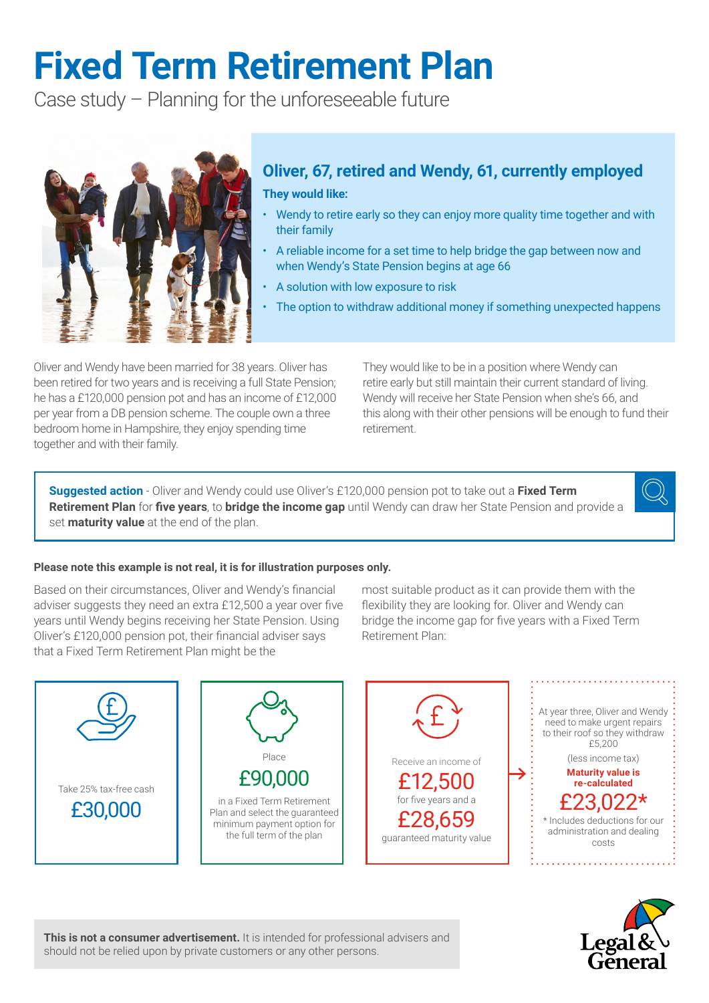# **Fixed Term Retirement Plan**

Case study – Planning for the unforeseeable future



# **Oliver, 67, retired and Wendy, 61, currently employed**

**They would like:**

- Wendy to retire early so they can enjoy more quality time together and with their family
- A reliable income for a set time to help bridge the gap between now and when Wendy's State Pension begins at age 66
- A solution with low exposure to risk
- The option to withdraw additional money if something unexpected happens

Oliver and Wendy have been married for 38 years. Oliver has been retired for two years and is receiving a full State Pension; he has a £120,000 pension pot and has an income of £12,000 per year from a DB pension scheme. The couple own a three bedroom home in Hampshire, they enjoy spending time together and with their family.

They would like to be in a position where Wendy can retire early but still maintain their current standard of living. Wendy will receive her State Pension when she's 66, and this along with their other pensions will be enough to fund their retirement.

**Suggested action** - Oliver and Wendy could use Oliver's £120,000 pension pot to take out a **Fixed Term Retirement Plan** for **five years**, to **bridge the income gap** until Wendy can draw her State Pension and provide a set **maturity value** at the end of the plan.



### **Please note this example is not real, it is for illustration purposes only.**

Based on their circumstances, Oliver and Wendy's financial adviser suggests they need an extra £12,500 a year over five years until Wendy begins receiving her State Pension. Using Oliver's £120,000 pension pot, their financial adviser says that a Fixed Term Retirement Plan might be the

most suitable product as it can provide them with the flexibility they are looking for. Oliver and Wendy can bridge the income gap for five years with a Fixed Term Retirement Plan:





**This is not a consumer advertisement.** It is intended for professional advisers and should not be relied upon by private customers or any other persons.